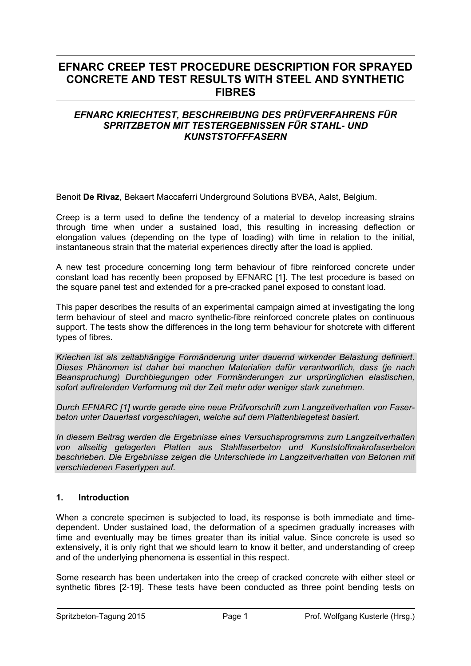# **EFNARC CREEP TEST PROCEDURE DESCRIPTION FOR SPRAYED CONCRETE AND TEST RESULTS WITH STEEL AND SYNTHETIC FIBRES**

# *EFNARC KRIECHTEST, BESCHREIBUNG DES PRÜFVERFAHRENS FÜR SPRITZBETON MIT TESTERGEBNISSEN FÜR STAHL- UND KUNSTSTOFFFASERN*

Benoit **De Rivaz**, Bekaert Maccaferri Underground Solutions BVBA, Aalst, Belgium.

Creep is a term used to define the tendency of a material to develop increasing strains through time when under a sustained load, this resulting in increasing deflection or elongation values (depending on the type of loading) with time in relation to the initial, instantaneous strain that the material experiences directly after the load is applied.

A new test procedure concerning long term behaviour of fibre reinforced concrete under constant load has recently been proposed by EFNARC [1]. The test procedure is based on the square panel test and extended for a pre-cracked panel exposed to constant load.

This paper describes the results of an experimental campaign aimed at investigating the long term behaviour of steel and macro synthetic-fibre reinforced concrete plates on continuous support. The tests show the differences in the long term behaviour for shotcrete with different types of fibres.

*Kriechen ist als zeitabhängige Formänderung unter dauernd wirkender Belastung definiert. Dieses Phänomen ist daher bei manchen Materialien dafür verantwortlich, dass (je nach Beanspruchung) Durchbiegungen oder Formänderungen zur ursprünglichen elastischen, sofort auftretenden Verformung mit der Zeit mehr oder weniger stark zunehmen.* 

*Durch EFNARC [1] wurde gerade eine neue Prüfvorschrift zum Langzeitverhalten von Faserbeton unter Dauerlast vorgeschlagen, welche auf dem Plattenbiegetest basiert.* 

*In diesem Beitrag werden die Ergebnisse eines Versuchsprogramms zum Langzeitverhalten von allseitig gelagerten Platten aus Stahlfaserbeton und Kunststoffmakrofaserbeton beschrieben. Die Ergebnisse zeigen die Unterschiede im Langzeitverhalten von Betonen mit verschiedenen Fasertypen auf.* 

# **1. Introduction**

When a concrete specimen is subjected to load, its response is both immediate and timedependent. Under sustained load, the deformation of a specimen gradually increases with time and eventually may be times greater than its initial value. Since concrete is used so extensively, it is only right that we should learn to know it better, and understanding of creep and of the underlying phenomena is essential in this respect.

Some research has been undertaken into the creep of cracked concrete with either steel or synthetic fibres [2-19]. These tests have been conducted as three point bending tests on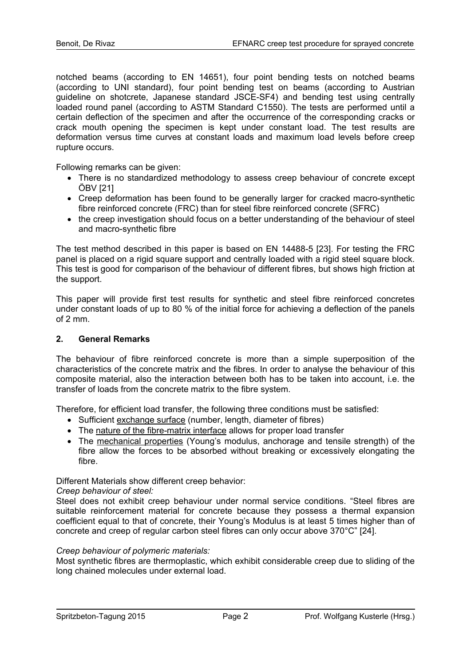notched beams (according to EN 14651), four point bending tests on notched beams (according to UNI standard), four point bending test on beams (according to Austrian guideline on shotcrete, Japanese standard JSCE-SF4) and bending test using centrally loaded round panel (according to ASTM Standard C1550). The tests are performed until a certain deflection of the specimen and after the occurrence of the corresponding cracks or crack mouth opening the specimen is kept under constant load. The test results are deformation versus time curves at constant loads and maximum load levels before creep rupture occurs.

Following remarks can be given:

- There is no standardized methodology to assess creep behaviour of concrete except ÖBV [21]
- Creep deformation has been found to be generally larger for cracked macro-synthetic fibre reinforced concrete (FRC) than for steel fibre reinforced concrete (SFRC)
- the creep investigation should focus on a better understanding of the behaviour of steel and macro-synthetic fibre

The test method described in this paper is based on EN 14488-5 [23]. For testing the FRC panel is placed on a rigid square support and centrally loaded with a rigid steel square block. This test is good for comparison of the behaviour of different fibres, but shows high friction at the support.

This paper will provide first test results for synthetic and steel fibre reinforced concretes under constant loads of up to 80 % of the initial force for achieving a deflection of the panels of 2 mm.

#### **2. General Remarks**

The behaviour of fibre reinforced concrete is more than a simple superposition of the characteristics of the concrete matrix and the fibres. In order to analyse the behaviour of this composite material, also the interaction between both has to be taken into account, i.e. the transfer of loads from the concrete matrix to the fibre system.

Therefore, for efficient load transfer, the following three conditions must be satisfied:

- Sufficient exchange surface (number, length, diameter of fibres)
- The nature of the fibre-matrix interface allows for proper load transfer
- The mechanical properties (Young's modulus, anchorage and tensile strength) of the fibre allow the forces to be absorbed without breaking or excessively elongating the fibre.

Different Materials show different creep behavior:

#### *Creep behaviour of steel:*

Steel does not exhibit creep behaviour under normal service conditions. "Steel fibres are suitable reinforcement material for concrete because they possess a thermal expansion coefficient equal to that of concrete, their Young's Modulus is at least 5 times higher than of concrete and creep of regular carbon steel fibres can only occur above 370°C" [24].

#### *Creep behaviour of polymeric materials:*

Most synthetic fibres are thermoplastic, which exhibit considerable creep due to sliding of the long chained molecules under external load.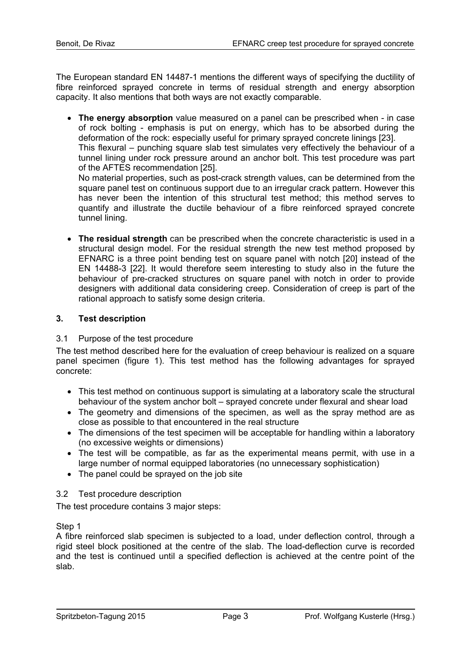The European standard EN 14487-1 mentions the different ways of specifying the ductility of fibre reinforced sprayed concrete in terms of residual strength and energy absorption capacity. It also mentions that both ways are not exactly comparable.

• **The energy absorption** value measured on a panel can be prescribed when - in case of rock bolting - emphasis is put on energy, which has to be absorbed during the deformation of the rock: especially useful for primary sprayed concrete linings [23].

This flexural – punching square slab test simulates very effectively the behaviour of a tunnel lining under rock pressure around an anchor bolt. This test procedure was part of the AFTES recommendation [25].

No material properties, such as post-crack strength values, can be determined from the square panel test on continuous support due to an irregular crack pattern. However this has never been the intention of this structural test method; this method serves to quantify and illustrate the ductile behaviour of a fibre reinforced sprayed concrete tunnel lining.

• **The residual strength** can be prescribed when the concrete characteristic is used in a structural design model. For the residual strength the new test method proposed by EFNARC is a three point bending test on square panel with notch [20] instead of the EN 14488-3 [22]. It would therefore seem interesting to study also in the future the behaviour of pre-cracked structures on square panel with notch in order to provide designers with additional data considering creep. Consideration of creep is part of the rational approach to satisfy some design criteria.

# **3. Test description**

#### 3.1 Purpose of the test procedure

The test method described here for the evaluation of creep behaviour is realized on a square panel specimen (figure 1). This test method has the following advantages for sprayed concrete:

- This test method on continuous support is simulating at a laboratory scale the structural behaviour of the system anchor bolt – sprayed concrete under flexural and shear load
- The geometry and dimensions of the specimen, as well as the spray method are as close as possible to that encountered in the real structure
- The dimensions of the test specimen will be acceptable for handling within a laboratory (no excessive weights or dimensions)
- The test will be compatible, as far as the experimental means permit, with use in a large number of normal equipped laboratories (no unnecessary sophistication)
- The panel could be sprayed on the job site

#### 3.2 Test procedure description

The test procedure contains 3 major steps:

Step 1

A fibre reinforced slab specimen is subjected to a load, under deflection control, through a rigid steel block positioned at the centre of the slab. The load-deflection curve is recorded and the test is continued until a specified deflection is achieved at the centre point of the slab.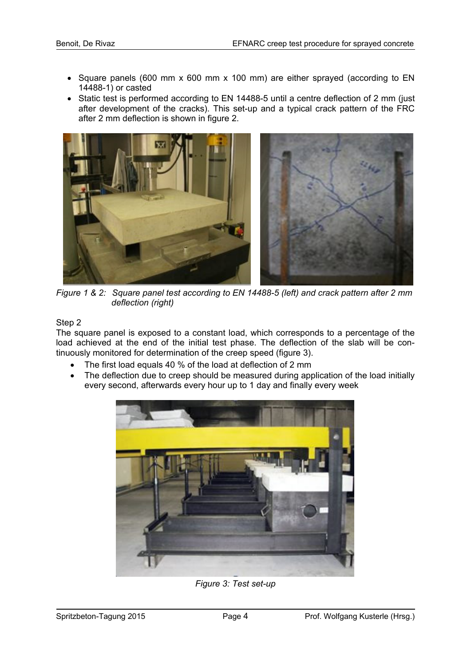- Square panels (600 mm x 600 mm x 100 mm) are either sprayed (according to EN 14488-1) or casted
- Static test is performed according to EN 14488-5 until a centre deflection of 2 mm (just after development of the cracks). This set-up and a typical crack pattern of the FRC after 2 mm deflection is shown in figure 2.



*Figure 1 & 2: Square panel test according to EN 14488-5 (left) and crack pattern after 2 mm deflection (right)* 

#### Step 2

The square panel is exposed to a constant load, which corresponds to a percentage of the load achieved at the end of the initial test phase. The deflection of the slab will be continuously monitored for determination of the creep speed (figure 3).

- The first load equals 40 % of the load at deflection of 2 mm
- The deflection due to creep should be measured during application of the load initially every second, afterwards every hour up to 1 day and finally every week



*Figure 3: Test set-up*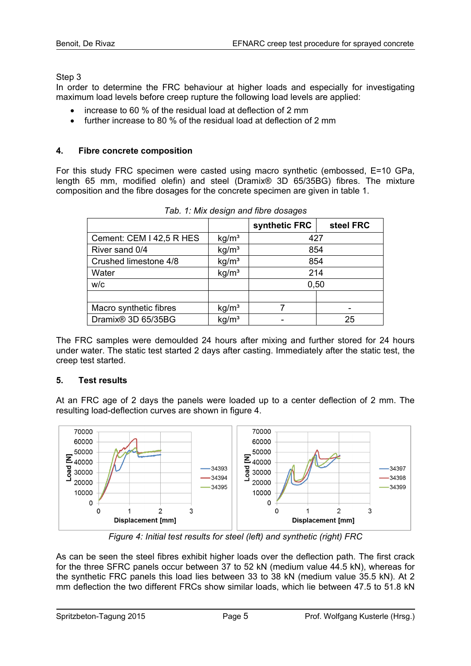Step 3

In order to determine the FRC behaviour at higher loads and especially for investigating maximum load levels before creep rupture the following load levels are applied:

- increase to 60 % of the residual load at deflection of 2 mm
- further increase to 80 % of the residual load at deflection of 2 mm

# **4. Fibre concrete composition**

For this study FRC specimen were casted using macro synthetic (embossed, E=10 GPa, length 65 mm, modified olefin) and steel (Dramix® 3D 65/35BG) fibres. The mixture composition and the fibre dosages for the concrete specimen are given in table 1.

|                          |                   | synthetic FRC | steel FRC |  |  |
|--------------------------|-------------------|---------------|-----------|--|--|
| Cement: CEM I 42,5 R HES | kg/m <sup>3</sup> | 427           |           |  |  |
| River sand 0/4           | kg/m <sup>3</sup> | 854           |           |  |  |
| Crushed limestone 4/8    | kg/m <sup>3</sup> | 854           |           |  |  |
| Water                    | kg/m <sup>3</sup> | 214           |           |  |  |
| W/C                      |                   | 0,50          |           |  |  |
|                          |                   |               |           |  |  |
| Macro synthetic fibres   | kg/m <sup>3</sup> |               |           |  |  |
| Dramix® 3D 65/35BG       | kg/m <sup>3</sup> |               | 25        |  |  |

*Tab. 1: Mix design and fibre dosages* 

The FRC samples were demoulded 24 hours after mixing and further stored for 24 hours under water. The static test started 2 days after casting. Immediately after the static test, the creep test started.

# **5. Test results**

At an FRC age of 2 days the panels were loaded up to a center deflection of 2 mm. The resulting load-deflection curves are shown in figure 4.



*Figure 4: Initial test results for steel (left) and synthetic (right) FRC* 

As can be seen the steel fibres exhibit higher loads over the deflection path. The first crack for the three SFRC panels occur between 37 to 52 kN (medium value 44.5 kN), whereas for the synthetic FRC panels this load lies between 33 to 38 kN (medium value 35.5 kN). At 2 mm deflection the two different FRCs show similar loads, which lie between 47.5 to 51.8 kN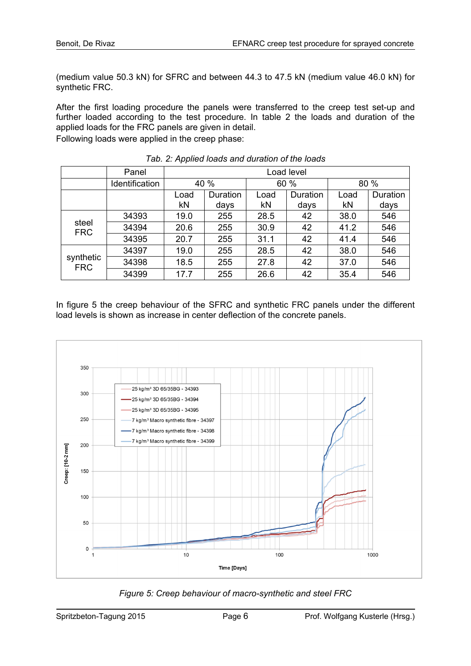(medium value 50.3 kN) for SFRC and between 44.3 to 47.5 kN (medium value 46.0 kN) for synthetic FRC.

After the first loading procedure the panels were transferred to the creep test set-up and further loaded according to the test procedure. In table 2 the loads and duration of the applied loads for the FRC panels are given in detail. Following loads were applied in the creep phase:

|                         | Panel          | Load level |          |      |          |      |          |  |
|-------------------------|----------------|------------|----------|------|----------|------|----------|--|
|                         | Identification | 40 %       |          | 60 % |          | 80 % |          |  |
|                         |                | Load       | Duration | Load | Duration | Load | Duration |  |
|                         |                | kN         | days     | kN   | days     | kN   | days     |  |
| steel<br><b>FRC</b>     | 34393          | 19.0       | 255      | 28.5 | 42       | 38.0 | 546      |  |
|                         | 34394          | 20.6       | 255      | 30.9 | 42       | 41.2 | 546      |  |
|                         | 34395          | 20.7       | 255      | 31.1 | 42       | 41.4 | 546      |  |
| synthetic<br><b>FRC</b> | 34397          | 19.0       | 255      | 28.5 | 42       | 38.0 | 546      |  |
|                         | 34398          | 18.5       | 255      | 27.8 | 42       | 37.0 | 546      |  |
|                         | 34399          | 17.7       | 255      | 26.6 | 42       | 35.4 | 546      |  |

*Tab. 2: Applied loads and duration of the loads* 

In figure 5 the creep behaviour of the SFRC and synthetic FRC panels under the different load levels is shown as increase in center deflection of the concrete panels.



*Figure 5: Creep behaviour of macro-synthetic and steel FRC*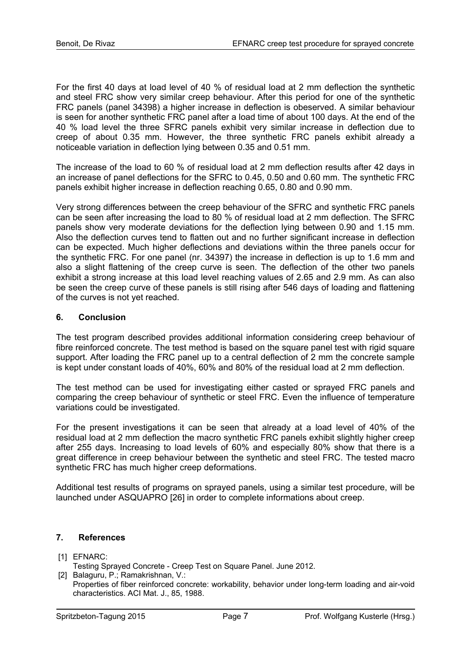For the first 40 days at load level of 40 % of residual load at 2 mm deflection the synthetic and steel FRC show very similar creep behaviour. After this period for one of the synthetic FRC panels (panel 34398) a higher increase in deflection is obeserved. A similar behaviour is seen for another synthetic FRC panel after a load time of about 100 days. At the end of the 40 % load level the three SFRC panels exhibit very similar increase in deflection due to creep of about 0.35 mm. However, the three synthetic FRC panels exhibit already a noticeable variation in deflection lying between 0.35 and 0.51 mm.

The increase of the load to 60 % of residual load at 2 mm deflection results after 42 days in an increase of panel deflections for the SFRC to 0.45, 0.50 and 0.60 mm. The synthetic FRC panels exhibit higher increase in deflection reaching 0.65, 0.80 and 0.90 mm.

Very strong differences between the creep behaviour of the SFRC and synthetic FRC panels can be seen after increasing the load to 80 % of residual load at 2 mm deflection. The SFRC panels show very moderate deviations for the deflection lying between 0.90 and 1.15 mm. Also the deflection curves tend to flatten out and no further significant increase in deflection can be expected. Much higher deflections and deviations within the three panels occur for the synthetic FRC. For one panel (nr. 34397) the increase in deflection is up to 1.6 mm and also a slight flattening of the creep curve is seen. The deflection of the other two panels exhibit a strong increase at this load level reaching values of 2.65 and 2.9 mm. As can also be seen the creep curve of these panels is still rising after 546 days of loading and flattening of the curves is not yet reached.

# **6. Conclusion**

The test program described provides additional information considering creep behaviour of fibre reinforced concrete. The test method is based on the square panel test with rigid square support. After loading the FRC panel up to a central deflection of 2 mm the concrete sample is kept under constant loads of 40%, 60% and 80% of the residual load at 2 mm deflection.

The test method can be used for investigating either casted or sprayed FRC panels and comparing the creep behaviour of synthetic or steel FRC. Even the influence of temperature variations could be investigated.

For the present investigations it can be seen that already at a load level of 40% of the residual load at 2 mm deflection the macro synthetic FRC panels exhibit slightly higher creep after 255 days. Increasing to load levels of 60% and especially 80% show that there is a great difference in creep behaviour between the synthetic and steel FRC. The tested macro synthetic FRC has much higher creep deformations.

Additional test results of programs on sprayed panels, using a similar test procedure, will be launched under ASQUAPRO [26] in order to complete informations about creep.

# **7. References**

[1] EFNARC:

- Testing Sprayed Concrete Creep Test on Square Panel. June 2012.
- [2] Balaguru, P.; Ramakrishnan, V.: Properties of fiber reinforced concrete: workability, behavior under long-term loading and air-void characteristics. ACI Mat. J., 85, 1988.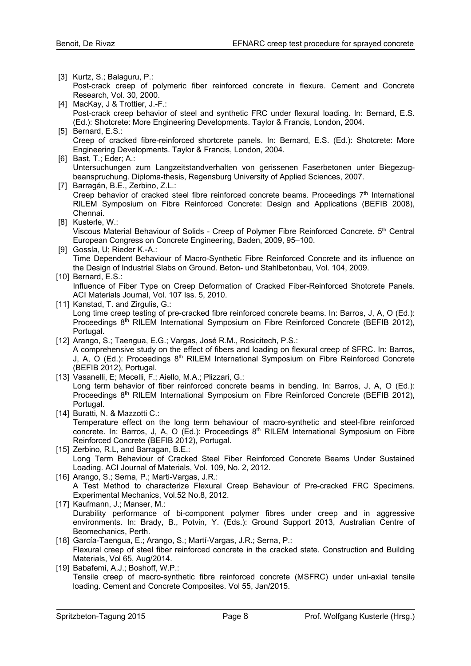- [3] Kurtz, S.; Balaguru, P.:
- Post-crack creep of polymeric fiber reinforced concrete in flexure. Cement and Concrete Research, Vol. 30, 2000.
- [4] MacKay, J & Trottier, J.-F.: Post-crack creep behavior of steel and synthetic FRC under flexural loading. In: Bernard, E.S. (Ed.): Shotcrete: More Engineering Developments. Taylor & Francis, London, 2004.
- [5] Bernard, E.S.: Creep of cracked fibre-reinforced shortcrete panels. In: Bernard, E.S. (Ed.): Shotcrete: More Engineering Developments. Taylor & Francis, London, 2004.
- [6] Bast, T.; Eder; A.: Untersuchungen zum Langzeitstandverhalten von gerissenen Faserbetonen unter Biegezugbeanspruchung. Diploma-thesis, Regensburg University of Applied Sciences, 2007.
- [7] Barragán, B.E., Zerbino, Z.L.: Creep behavior of cracked steel fibre reinforced concrete beams. Proceedings  $7<sup>th</sup>$  International RILEM Symposium on Fibre Reinforced Concrete: Design and Applications (BEFIB 2008), Chennai.
- [8] Kusterle, W.: Viscous Material Behaviour of Solids - Creep of Polymer Fibre Reinforced Concrete. 5<sup>th</sup> Central European Congress on Concrete Engineering, Baden, 2009, 95–100.
- [9] Gossla, U; Rieder K.-A.: Time Dependent Behaviour of Macro-Synthetic Fibre Reinforced Concrete and its influence on the Design of Industrial Slabs on Ground. Beton- und Stahlbetonbau, Vol. 104, 2009.

#### [10] Bernard, E.S.:

Influence of Fiber Type on Creep Deformation of Cracked Fiber-Reinforced Shotcrete Panels. ACI Materials Journal, Vol. 107 Iss. 5, 2010.

[11] Kanstad, T. and Zirgulis, G.:

Long time creep testing of pre-cracked fibre reinforced concrete beams. In: Barros, J, A, O (Ed.): Proceedings  $8<sup>th</sup>$  RILEM International Symposium on Fibre Reinforced Concrete (BEFIB 2012), Portugal.

- [12] Arango, S.; Taengua, E.G.; Vargas, José R.M., Rosicitech, P.S.: A comprehensive study on the effect of fibers and loading on flexural creep of SFRC. In: Barros, J, A, O (Ed.): Proceedings 8<sup>th</sup> RILEM International Symposium on Fibre Reinforced Concrete (BEFIB 2012), Portugal.
- [13] Vasanelli, E; Mecelli, F.; Aiello, M.A.; Plizzari, G.: Long term behavior of fiber reinforced concrete beams in bending. In: Barros, J. A. O (Ed.): Proceedings 8<sup>th</sup> RILEM International Symposium on Fibre Reinforced Concrete (BEFIB 2012), Portugal.
- [14] Buratti, N. & Mazzotti C.: Temperature effect on the long term behaviour of macro-synthetic and steel-fibre reinforced concrete. In: Barros, J, A, O (Ed.): Proceedings 8<sup>th</sup> RILEM International Symposium on Fibre Reinforced Concrete (BEFIB 2012), Portugal.
- [15] Zerbino, R.L, and Barragan, B.E.: Long Term Behaviour of Cracked Steel Fiber Reinforced Concrete Beams Under Sustained Loading. ACI Journal of Materials, Vol. 109, No. 2, 2012.
- [16] Arango, S.; Serna, P.; Marti-Vargas, J.R.: A Test Method to characterize Flexural Creep Behaviour of Pre-cracked FRC Specimens. Experimental Mechanics, Vol.52 No.8, 2012.
- [17] Kaufmann, J.; Manser, M.: Durability performance of bi-component polymer fibres under creep and in aggressive environments. In: Brady, B., Potvin, Y. (Eds.): Ground Support 2013, Australian Centre of Beomechanics, Perth.
- [18] García-Taengua, E.; Arango, S.; Martí-Vargas, J.R.; Serna, P.: Flexural creep of steel fiber reinforced concrete in the cracked state. Construction and Building Materials, Vol 65, Aug/2014.
- [19] Babafemi, A.J.; Boshoff, W.P.; Tensile creep of macro-synthetic fibre reinforced concrete (MSFRC) under uni-axial tensile loading. Cement and Concrete Composites. Vol 55, Jan/2015.